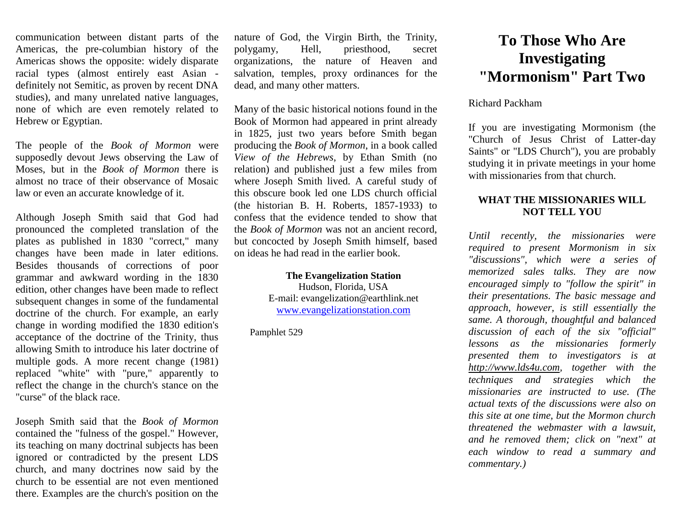communication between distant parts of the Americas, the pre-columbian history of the Americas shows the opposite: widely disparate racial types (almost entirely east Asian definitely not Semitic, as proven by recent DNA studies), and many unrelated native languages, none of which are even remotely related to Hebrew or Egyptian.

The people of the *Book of Mormon* were supposedly devout Jews observing the Law of Moses, but in the *Book of Mormon* there is almost no trace of their observance of Mosaic law or even an accurate knowledge of it.

Although Joseph Smith said that God had pronounced the completed translation of the plates as published in 1830 "correct," many changes have been made in later editions. Besides thousands of corrections of poor grammar and awkward wording in the 1830 edition, other changes have been made to reflect subsequent changes in some of the fundamental doctrine of the church. For example, an early change in wording modified the 1830 edition's acceptance of the doctrine of the Trinity, thus allowing Smith to introduce his later doctrine of multiple gods. A more recent change (1981) replaced "white" with "pure," apparently to reflect the change in the church's stance on the "curse" of the black race.

Joseph Smith said that the *Book of Mormon* contained the "fulness of the gospel." However, its teaching on many doctrinal subjects has been ignored or contradicted by the present LDS church, and many doctrines now said by the church to be essential are not even mentioned there. Examples are the church's position on the nature of God, the Virgin Birth, the Trinity, polygamy, Hell, priesthood, secret organizations, the nature of Heaven and salvation, temples, proxy ordinances for the dead, and many other matters.

Many of the basic historical notions found in the Book of Mormon had appeared in print already in 1825, just two years before Smith began producing the *Book of Mormon*, in a book called *View of the Hebrews*, by Ethan Smith (no relation) and published just a few miles from where Joseph Smith lived. A careful study of this obscure book led one LDS church official (the historian B. H. Roberts, 1857-1933) to confess that the evidence tended to show that the *Book of Mormon* was not an ancient record, but concocted by Joseph Smith himself, based on ideas he had read in the earlier book.

**The Evangelization Station**

Hudson, Florida, USA E-mail: evangelization@earthlink.net [www.evangelizationstation.com](http://www.pjpiisoe.org/)

Pamphlet 529

## **To Those Who Are Investigating "Mormonism" Part Two**

## Richard Packham

If you are investigating Mormonism (the "Church of Jesus Christ of Latter-day Saints" or "LDS Church"), you are probably studying it in private meetings in your home with missionaries from that church.

## **WHAT THE MISSIONARIES WILL NOT TELL YOU**

*Until recently, the missionaries were required to present Mormonism in six "discussions", which were a series of memorized sales talks. They are now encouraged simply to "follow the spirit" in their presentations. The basic message and approach, however, is still essentially the same. A thorough, thoughtful and balanced discussion of each of the six "official" lessons as the missionaries formerly presented them to investigators is at [http://www.lds4u.com,](http://www.lds4u.com/) together with the techniques and strategies which the missionaries are instructed to use. (The actual texts of the discussions were also on this site at one time, but the Mormon church threatened the webmaster with a lawsuit, and he removed them; click on "next" at each window to read a summary and commentary.)*